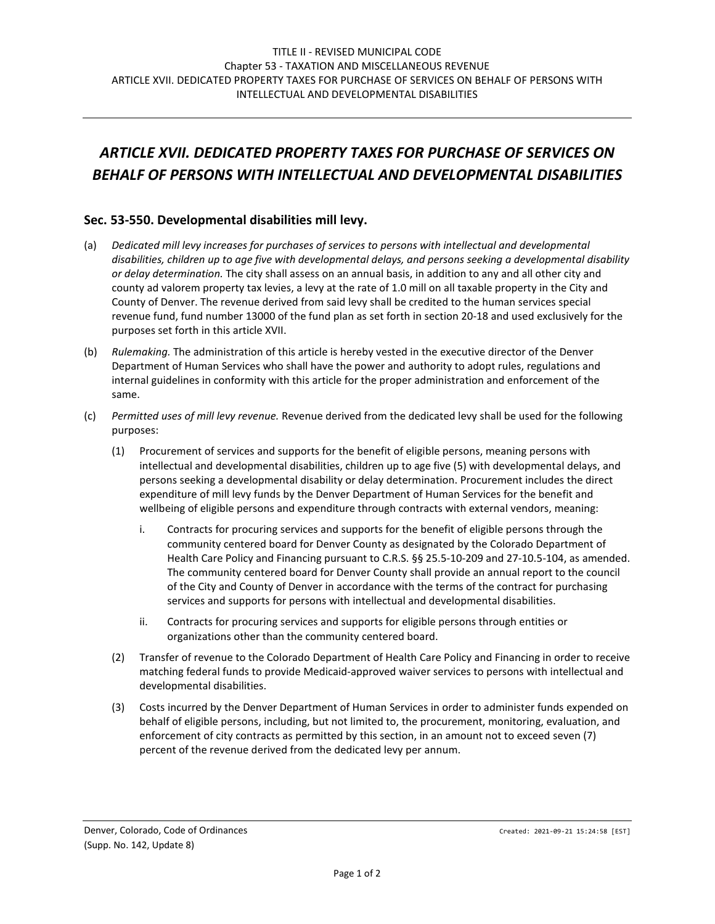## *ARTICLE XVII. DEDICATED PROPERTY TAXES FOR PURCHASE OF SERVICES ON BEHALF OF PERSONS WITH INTELLECTUAL AND DEVELOPMENTAL DISABILITIES*

## **Sec. 53-550. Developmental disabilities mill levy.**

- (a) *Dedicated mill levy increases for purchases of services to persons with intellectual and developmental disabilities, children up to age five with developmental delays, and persons seeking a developmental disability or delay determination.* The city shall assess on an annual basis, in addition to any and all other city and county ad valorem property tax levies, a levy at the rate of 1.0 mill on all taxable property in the City and County of Denver. The revenue derived from said levy shall be credited to the human services special revenue fund, fund number 13000 of the fund plan as set forth in section 20-18 and used exclusively for the purposes set forth in this article XVII.
- (b) *Rulemaking.* The administration of this article is hereby vested in the executive director of the Denver Department of Human Services who shall have the power and authority to adopt rules, regulations and internal guidelines in conformity with this article for the proper administration and enforcement of the same.
- (c) *Permitted uses of mill levy revenue.* Revenue derived from the dedicated levy shall be used for the following purposes:
	- (1) Procurement of services and supports for the benefit of eligible persons, meaning persons with intellectual and developmental disabilities, children up to age five (5) with developmental delays, and persons seeking a developmental disability or delay determination. Procurement includes the direct expenditure of mill levy funds by the Denver Department of Human Services for the benefit and wellbeing of eligible persons and expenditure through contracts with external vendors, meaning:
		- i. Contracts for procuring services and supports for the benefit of eligible persons through the community centered board for Denver County as designated by the Colorado Department of Health Care Policy and Financing pursuant to C.R.S. §§ 25.5-10-209 and 27-10.5-104, as amended. The community centered board for Denver County shall provide an annual report to the council of the City and County of Denver in accordance with the terms of the contract for purchasing services and supports for persons with intellectual and developmental disabilities.
		- ii. Contracts for procuring services and supports for eligible persons through entities or organizations other than the community centered board.
	- (2) Transfer of revenue to the Colorado Department of Health Care Policy and Financing in order to receive matching federal funds to provide Medicaid-approved waiver services to persons with intellectual and developmental disabilities.
	- (3) Costs incurred by the Denver Department of Human Services in order to administer funds expended on behalf of eligible persons, including, but not limited to, the procurement, monitoring, evaluation, and enforcement of city contracts as permitted by this section, in an amount not to exceed seven (7) percent of the revenue derived from the dedicated levy per annum.